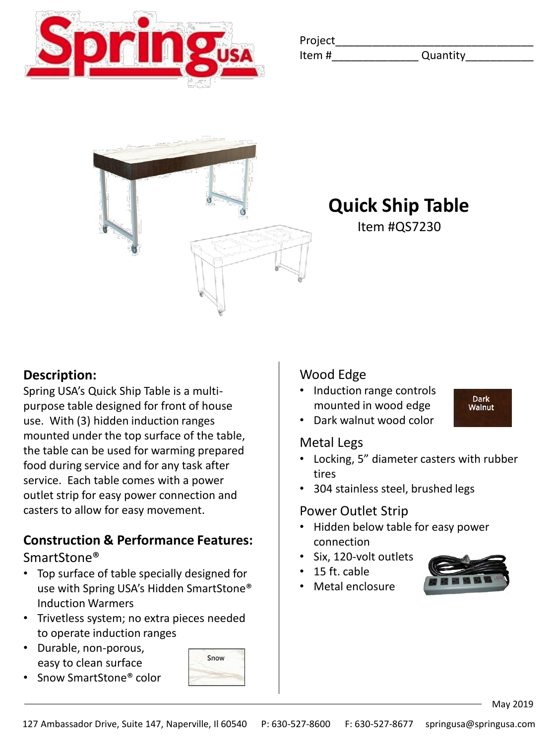

| Project |          |
|---------|----------|
| Item#   | Quantity |



**Quick Ship Table**

Item #QS7230

### **Description:**

Spring USA's Quick Ship Table is a multipurpose table designed for front of house use. With (3) hidden induction ranges mounted under the top surface of the table, the table can be used for warming prepared food during service and for any task after service. Each table comes with a power outlet strip for easy power connection and casters to allow for easy movement.

# **Construction & Performance Features:**

SmartStone®

- Top surface of table specially designed for use with Spring USA's Hidden SmartStone® Induction Warmers
- Trivetless system; no extra pieces needed to operate induction ranges
- Durable, non-porous, easy to clean surface
- Snow SmartStone® color



• Induction range controls mounted in wood edge

**Dark Walnut** 

• Dark walnut wood color

#### Metal Legs

- Locking, 5" diameter casters with rubber tires
- 304 stainless steel, brushed legs

#### Power Outlet Strip

- Hidden below table for easy power connection
- Six, 120-volt outlets
- 15 ft. cable
- Metal enclosure



May 2019

Snow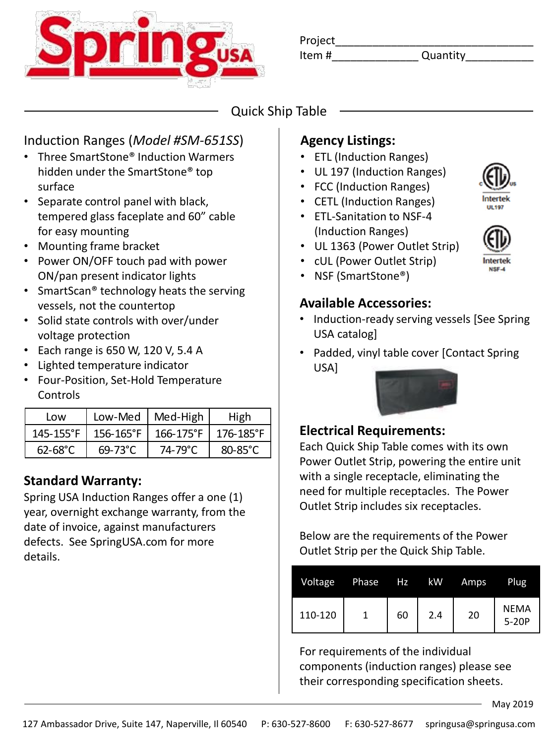

Item  $\#$ 

Project\_\_\_\_\_\_\_\_\_\_\_\_\_\_\_\_\_\_\_\_\_\_\_\_\_\_\_\_\_\_\_\_

# Quick Ship Table

## Induction Ranges (*Model #SM-651SS*)

- Three SmartStone® Induction Warmers hidden under the SmartStone® top surface
- Separate control panel with black, tempered glass faceplate and 60" cable for easy mounting
- Mounting frame bracket
- Power ON/OFF touch pad with power ON/pan present indicator lights
- SmartScan<sup>®</sup> technology heats the serving vessels, not the countertop
- Solid state controls with over/under voltage protection
- Each range is 650 W, 120 V, 5.4 A
- Lighted temperature indicator
- Four-Position, Set-Hold Temperature Controls

| l ow                | Low-Med   | Med-High       | High      |
|---------------------|-----------|----------------|-----------|
| $145 - 155$ °F      | 156-165°F | $166 - 175$ °F | 176-185°F |
| $62 - 68^{\circ}$ C | 69-73°C   | 74-79°C        | 80-85°C   |

### **Standard Warranty:**

Spring USA Induction Ranges offer a one (1) year, overnight exchange warranty, from the date of invoice, against manufacturers defects. See SpringUSA.com for more details.

# **Agency Listings:**

- ETL (Induction Ranges)
- UL 197 (Induction Ranges)
- FCC (Induction Ranges)
- CETL (Induction Ranges)
- ETL-Sanitation to NSF-4 (Induction Ranges)
- UL 1363 (Power Outlet Strip)
- cUL (Power Outlet Strip)
- NSF (SmartStone®)

## **Available Accessories:**

- Induction-ready serving vessels [See Spring USA catalog]
- Padded, vinyl table cover [Contact Spring USA]



### **Electrical Requirements:**

Each Quick Ship Table comes with its own Power Outlet Strip, powering the entire unit with a single receptacle, eliminating the need for multiple receptacles. The Power Outlet Strip includes six receptacles.

Below are the requirements of the Power Outlet Strip per the Quick Ship Table.

| <b>Voltage</b> | Phase | Hz | kW. | Amps | <b>Plug</b>            |
|----------------|-------|----|-----|------|------------------------|
| 110-120        |       | 60 | 2.4 | 20   | <b>NFMA</b><br>$5-20P$ |

For requirements of the individual components (induction ranges) please see their corresponding specification sheets.